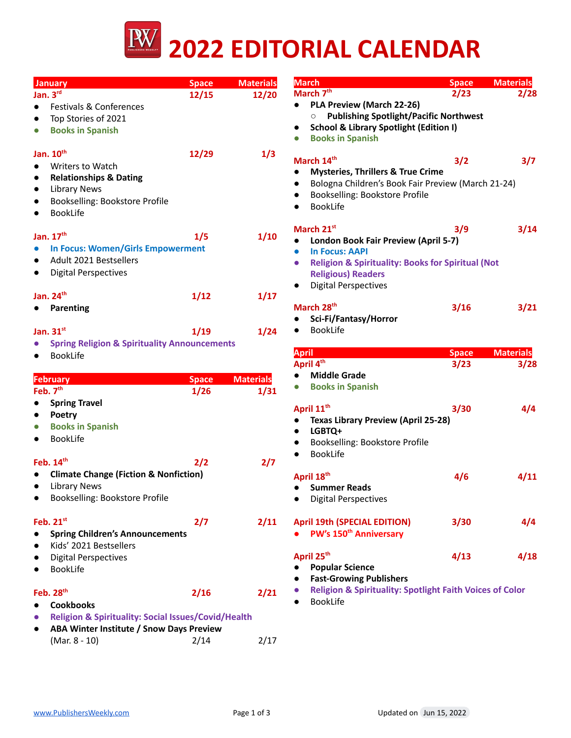

| <b>January</b>                                                                                       | <b>Space</b> | <b>Materials</b> | <b>March</b>                                                                              | <b>Space</b> | <b>Materials</b> |
|------------------------------------------------------------------------------------------------------|--------------|------------------|-------------------------------------------------------------------------------------------|--------------|------------------|
| Jan. $3^{rd}$                                                                                        | 12/15        | 12/20            | March 7 <sup>th</sup>                                                                     | 2/23         | 2/28             |
| Festivals & Conferences<br>$\bullet$                                                                 |              |                  | PLA Preview (March 22-26)<br>$\bullet$                                                    |              |                  |
| Top Stories of 2021<br>$\bullet$                                                                     |              |                  | <b>Publishing Spotlight/Pacific Northwest</b><br>$\circ$                                  |              |                  |
| <b>Books in Spanish</b><br>$\bullet$                                                                 |              |                  | <b>School &amp; Library Spotlight (Edition I)</b><br><b>Books in Spanish</b><br>$\bullet$ |              |                  |
| Jan. 10 <sup>th</sup>                                                                                | 12/29        | 1/3              | March 14th                                                                                |              |                  |
| Writers to Watch<br>$\bullet$                                                                        |              |                  | <b>Mysteries, Thrillers &amp; True Crime</b><br>$\bullet$                                 | 3/2          | 3/7              |
| <b>Relationships &amp; Dating</b><br>$\bullet$                                                       |              |                  | Bologna Children's Book Fair Preview (March 21-24)                                        |              |                  |
| <b>Library News</b><br>$\bullet$                                                                     |              |                  | Bookselling: Bookstore Profile                                                            |              |                  |
| Bookselling: Bookstore Profile<br>$\bullet$                                                          |              |                  | <b>BookLife</b>                                                                           |              |                  |
| <b>BookLife</b><br>$\bullet$                                                                         |              |                  |                                                                                           |              |                  |
| Jan. 17th                                                                                            | 1/5          | 1/10             | March 21st<br>London Book Fair Preview (April 5-7)                                        | 3/9          | 3/14             |
| <b>In Focus: Women/Girls Empowerment</b><br>$\bullet$                                                |              |                  | <b>In Focus: AAPI</b>                                                                     |              |                  |
| Adult 2021 Bestsellers<br>$\bullet$                                                                  |              |                  | <b>Religion &amp; Spirituality: Books for Spiritual (Not</b>                              |              |                  |
| <b>Digital Perspectives</b><br>$\bullet$                                                             |              |                  | <b>Religious) Readers</b>                                                                 |              |                  |
|                                                                                                      |              |                  | <b>Digital Perspectives</b>                                                               |              |                  |
| Jan. $24th$                                                                                          | 1/12         | 1/17             |                                                                                           |              |                  |
| <b>Parenting</b><br>$\bullet$                                                                        |              |                  | March 28 <sup>th</sup>                                                                    | 3/16         | 3/21             |
|                                                                                                      |              |                  | Sci-Fi/Fantasy/Horror<br><b>BookLife</b>                                                  |              |                  |
| Jan. 31st                                                                                            | 1/19         | 1/24             |                                                                                           |              |                  |
| <b>Spring Religion &amp; Spirituality Announcements</b><br>$\bullet$<br><b>BookLife</b><br>$\bullet$ |              |                  | <b>April</b>                                                                              | <b>Space</b> | <b>Materials</b> |
|                                                                                                      |              |                  | April 4th                                                                                 | 3/23         | 3/28             |
| <b>February</b>                                                                                      | <b>Space</b> | <b>Materials</b> | <b>Middle Grade</b>                                                                       |              |                  |
| Feb. 7 <sup>th</sup>                                                                                 | 1/26         | 1/31             | <b>Books in Spanish</b><br>$\bullet$                                                      |              |                  |
| <b>Spring Travel</b><br>$\bullet$                                                                    |              |                  | April 11 <sup>th</sup>                                                                    | 3/30         | 4/4              |
| Poetry<br>$\bullet$                                                                                  |              |                  | <b>Texas Library Preview (April 25-28)</b>                                                |              |                  |
| <b>Books in Spanish</b><br>$\bullet$                                                                 |              |                  | LGBTQ+<br>$\bullet$                                                                       |              |                  |
| <b>BookLife</b><br>$\bullet$                                                                         |              |                  | Bookselling: Bookstore Profile                                                            |              |                  |
|                                                                                                      |              |                  | <b>BookLife</b><br>$\bullet$                                                              |              |                  |
| Feb. 14th                                                                                            | 2/2          | 2/7              |                                                                                           |              |                  |
| <b>Climate Change (Fiction &amp; Nonfiction)</b><br>$\bullet$                                        |              |                  | April 18th                                                                                | 4/6          | 4/11             |
| <b>Library News</b><br>$\bullet$<br>Bookselling: Bookstore Profile<br>$\bullet$                      |              |                  | • Summer Reads                                                                            |              |                  |
|                                                                                                      |              |                  | <b>Digital Perspectives</b>                                                               |              |                  |
| Feb. 21st                                                                                            | 2/7          | 2/11             | <b>April 19th (SPECIAL EDITION)</b>                                                       | 3/30         | 4/4              |
| <b>Spring Children's Announcements</b><br>$\bullet$                                                  |              |                  | PW's 150 <sup>th</sup> Anniversary                                                        |              |                  |
| Kids' 2021 Bestsellers<br>$\bullet$                                                                  |              |                  |                                                                                           |              |                  |
| <b>Digital Perspectives</b><br>$\bullet$                                                             |              |                  | April 25 <sup>th</sup>                                                                    | 4/13         | 4/18             |
| <b>BookLife</b><br>$\bullet$                                                                         |              |                  | <b>Popular Science</b><br><b>Fast-Growing Publishers</b>                                  |              |                  |
| Feb. 28 <sup>th</sup>                                                                                | 2/16         | 2/21             | <b>Religion &amp; Spirituality: Spotlight Faith Voices of Color</b>                       |              |                  |
| <b>Cookbooks</b><br>$\bullet$                                                                        |              |                  | <b>BookLife</b>                                                                           |              |                  |
| <b>Religion &amp; Spirituality: Social Issues/Covid/Health</b><br>$\bullet$                          |              |                  |                                                                                           |              |                  |
| ABA Winter Institute / Snow Days Preview<br>$\bullet$                                                |              |                  |                                                                                           |              |                  |
| (Mar. 8 - 10)                                                                                        | 2/14         | 2/17             |                                                                                           |              |                  |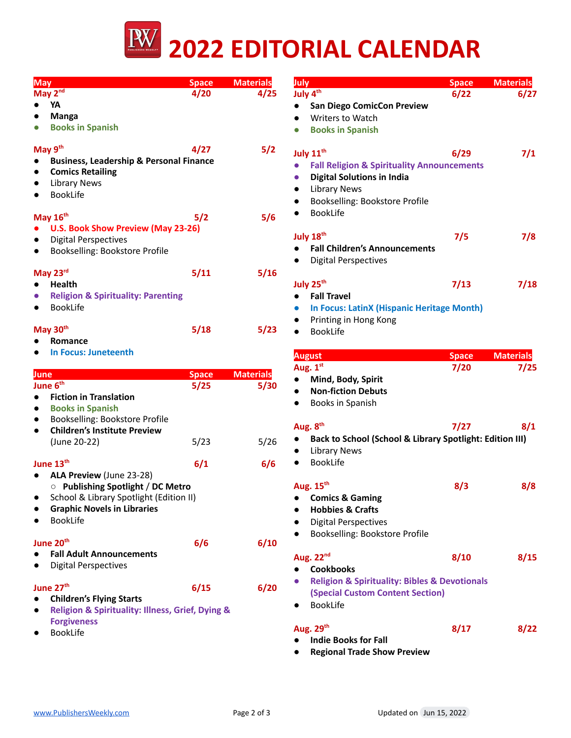

| <b>May</b>                     |                                                    | <b>Space</b> | <b>Materials</b> | July                                                               | <b>Space</b> | <b>Materials</b> |
|--------------------------------|----------------------------------------------------|--------------|------------------|--------------------------------------------------------------------|--------------|------------------|
| May 2nd                        |                                                    | 4/20         | 4/25             | July 4 <sup>th</sup>                                               | 6/22         | 6/27             |
| YA                             |                                                    |              |                  | <b>San Diego ComicCon Preview</b>                                  |              |                  |
| <b>Manga</b>                   |                                                    |              |                  | Writers to Watch                                                   |              |                  |
|                                | <b>Books in Spanish</b>                            |              |                  | <b>Books in Spanish</b>                                            |              |                  |
| May 9th                        |                                                    | 4/27         | 5/2              | July 11 <sup>th</sup>                                              | 6/29         | 7/1              |
|                                | <b>Business, Leadership &amp; Personal Finance</b> |              |                  | <b>Fall Religion &amp; Spirituality Announcements</b><br>$\bullet$ |              |                  |
|                                | <b>Comics Retailing</b>                            |              |                  |                                                                    |              |                  |
| <b>Library News</b>            |                                                    |              |                  | <b>Digital Solutions in India</b>                                  |              |                  |
| <b>BookLife</b>                |                                                    |              |                  | <b>Library News</b>                                                |              |                  |
|                                |                                                    |              |                  | Bookselling: Bookstore Profile                                     |              |                  |
| May 16th                       |                                                    | 5/2          | 5/6              | <b>BookLife</b><br>$\bullet$                                       |              |                  |
|                                | U.S. Book Show Preview (May 23-26)                 |              |                  |                                                                    |              |                  |
|                                | <b>Digital Perspectives</b>                        |              |                  | July 18th                                                          | 7/5          | 7/8              |
| $\bullet$                      | Bookselling: Bookstore Profile                     |              |                  | <b>Fall Children's Announcements</b>                               |              |                  |
|                                |                                                    |              |                  | <b>Digital Perspectives</b>                                        |              |                  |
| May 23rd                       |                                                    | 5/11         | 5/16             |                                                                    |              |                  |
| <b>Health</b>                  |                                                    |              |                  | July 25 <sup>th</sup>                                              | 7/13         | 7/18             |
|                                | <b>Religion &amp; Spirituality: Parenting</b>      |              |                  | <b>Fall Travel</b><br>$\bullet$                                    |              |                  |
| <b>BookLife</b>                |                                                    |              |                  | <b>In Focus: LatinX (Hispanic Heritage Month)</b>                  |              |                  |
|                                |                                                    |              |                  | Printing in Hong Kong                                              |              |                  |
| May 30 <sup>th</sup>           |                                                    | 5/18         | 5/23             | <b>BookLife</b><br>$\bullet$                                       |              |                  |
| Romance                        |                                                    |              |                  |                                                                    |              |                  |
|                                | <b>In Focus: Juneteenth</b>                        |              |                  | <b>August</b>                                                      | <b>Space</b> | <b>Materials</b> |
|                                |                                                    |              |                  | Aug. 1st                                                           | 7/20         | 7/25             |
| June                           |                                                    | <b>Space</b> | <b>Materials</b> | Mind, Body, Spirit                                                 |              |                  |
| June 6 <sup>th</sup>           |                                                    | 5/25         | 5/30             | <b>Non-fiction Debuts</b>                                          |              |                  |
|                                | <b>Fiction in Translation</b>                      |              |                  | Books in Spanish                                                   |              |                  |
| $\bullet$                      | <b>Books in Spanish</b>                            |              |                  |                                                                    |              |                  |
| $\bullet$                      | Bookselling: Bookstore Profile                     |              |                  | Aug. 8th                                                           | 7/27         | 8/1              |
| $\bullet$                      | <b>Children's Institute Preview</b>                |              |                  | Back to School (School & Library Spotlight: Edition III)           |              |                  |
| (June 20-22)                   |                                                    | 5/23         | 5/26             | <b>Library News</b>                                                |              |                  |
|                                |                                                    |              |                  | <b>BookLife</b>                                                    |              |                  |
| June 13th                      |                                                    | 6/1          | 6/6              |                                                                    |              |                  |
|                                | ALA Preview (June 23-28)                           |              |                  |                                                                    |              |                  |
|                                | O Publishing Spotlight / DC Metro                  |              |                  | Aug. 15 <sup>th</sup>                                              | 8/3          | 8/8              |
| $\bullet$                      | School & Library Spotlight (Edition II)            |              |                  | <b>Comics &amp; Gaming</b><br>$\bullet$                            |              |                  |
| BookLife                       | <b>Graphic Novels in Libraries</b>                 |              |                  | <b>Hobbies &amp; Crafts</b>                                        |              |                  |
|                                |                                                    |              |                  | <b>Digital Perspectives</b>                                        |              |                  |
| June 20 <sup>th</sup>          |                                                    | 6/6          | 6/10             | Bookselling: Bookstore Profile<br>$\bullet$                        |              |                  |
|                                | <b>Fall Adult Announcements</b>                    |              |                  |                                                                    |              |                  |
|                                | <b>Digital Perspectives</b>                        |              |                  | Aug. 22nd                                                          | 8/10         | 8/15             |
|                                |                                                    |              |                  | <b>Cookbooks</b>                                                   |              |                  |
| June 27 <sup>th</sup>          |                                                    | 6/15         | 6/20             | <b>Religion &amp; Spirituality: Bibles &amp; Devotionals</b>       |              |                  |
|                                | <b>Children's Flying Starts</b>                    |              |                  | <b>(Special Custom Content Section)</b>                            |              |                  |
|                                |                                                    |              |                  | <b>BookLife</b>                                                    |              |                  |
|                                |                                                    |              |                  |                                                                    |              |                  |
| $\bullet$                      | Religion & Spirituality: Illness, Grief, Dying &   |              |                  |                                                                    |              |                  |
| <b>Forgiveness</b><br>BookLife |                                                    |              |                  | Aug. 29th                                                          | 8/17         | 8/22             |

**● Regional Trade Show Preview**